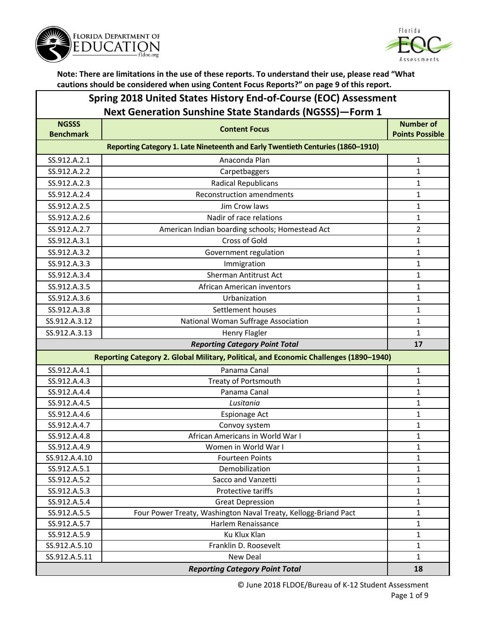



#### **Spring 2018 United States History End-of-Course (EOC) Assessment Next Generation Sunshine State Standards (NGSSS)—Form 1**

| <b>NGSSS</b><br><b>Benchmark</b>      | <b>Content Focus</b>                                                                  | <b>Number of</b><br><b>Points Possible</b> |  |
|---------------------------------------|---------------------------------------------------------------------------------------|--------------------------------------------|--|
|                                       | Reporting Category 1. Late Nineteenth and Early Twentieth Centuries (1860-1910)       |                                            |  |
| SS.912.A.2.1                          | Anaconda Plan                                                                         | 1                                          |  |
| SS.912.A.2.2                          | Carpetbaggers                                                                         | 1                                          |  |
| SS.912.A.2.3                          | <b>Radical Republicans</b>                                                            | $\mathbf{1}$                               |  |
| SS.912.A.2.4                          | <b>Reconstruction amendments</b>                                                      | $\mathbf{1}$                               |  |
| SS.912.A.2.5                          | Jim Crow laws                                                                         | $\mathbf{1}$                               |  |
| SS.912.A.2.6                          | Nadir of race relations                                                               | 1                                          |  |
| SS.912.A.2.7                          | American Indian boarding schools; Homestead Act                                       | $\overline{2}$                             |  |
| SS.912.A.3.1                          | Cross of Gold                                                                         | $\mathbf{1}$                               |  |
| SS.912.A.3.2                          | Government regulation                                                                 | $\mathbf{1}$                               |  |
| SS.912.A.3.3                          | Immigration                                                                           | $\mathbf{1}$                               |  |
| SS.912.A.3.4                          | <b>Sherman Antitrust Act</b>                                                          | 1                                          |  |
| SS.912.A.3.5                          | African American inventors                                                            | 1                                          |  |
| SS.912.A.3.6                          | Urbanization                                                                          | $\mathbf{1}$                               |  |
| SS.912.A.3.8                          | Settlement houses                                                                     | $\mathbf{1}$                               |  |
| SS.912.A.3.12                         | National Woman Suffrage Association                                                   | 1                                          |  |
| SS.912.A.3.13                         | <b>Henry Flagler</b>                                                                  | $\mathbf{1}$                               |  |
| <b>Reporting Category Point Total</b> |                                                                                       | 17                                         |  |
|                                       | Reporting Category 2. Global Military, Political, and Economic Challenges (1890-1940) |                                            |  |
| SS.912.A.4.1                          | Panama Canal                                                                          | 1                                          |  |
| SS.912.A.4.3                          | Treaty of Portsmouth                                                                  | $\mathbf{1}$                               |  |
| SS.912.A.4.4                          | Panama Canal                                                                          | $\mathbf{1}$                               |  |
| SS.912.A.4.5                          | Lusitania                                                                             | $\mathbf{1}$                               |  |
| SS.912.A.4.6                          | Espionage Act                                                                         | $\mathbf{1}$                               |  |
| SS.912.A.4.7                          | Convoy system                                                                         | $\mathbf{1}$                               |  |
| SS.912.A.4.8                          | African Americans in World War I                                                      | $\mathbf{1}$                               |  |
| SS.912.A.4.9                          | Women in World War I                                                                  | $\mathbf{1}$                               |  |
| SS.912.A.4.10                         | <b>Fourteen Points</b>                                                                | $\mathbf{1}$                               |  |
| SS.912.A.5.1                          | Demobilization                                                                        | $\mathbf{1}$                               |  |
| SS.912.A.5.2                          | Sacco and Vanzetti                                                                    | 1                                          |  |
| SS.912.A.5.3                          | Protective tariffs                                                                    | 1                                          |  |
| SS.912.A.5.4                          | <b>Great Depression</b>                                                               | $\mathbf 1$                                |  |
| SS.912.A.5.5                          | Four Power Treaty, Washington Naval Treaty, Kellogg-Briand Pact                       | 1                                          |  |
| SS.912.A.5.7                          | Harlem Renaissance                                                                    | $\mathbf{1}$                               |  |
| SS.912.A.5.9                          | Ku Klux Klan                                                                          | $\mathbf 1$                                |  |
| SS.912.A.5.10<br>SS.912.A.5.11        | Franklin D. Roosevelt<br>New Deal                                                     | 1<br>1                                     |  |
|                                       |                                                                                       |                                            |  |
|                                       | <b>Reporting Category Point Total</b>                                                 | 18                                         |  |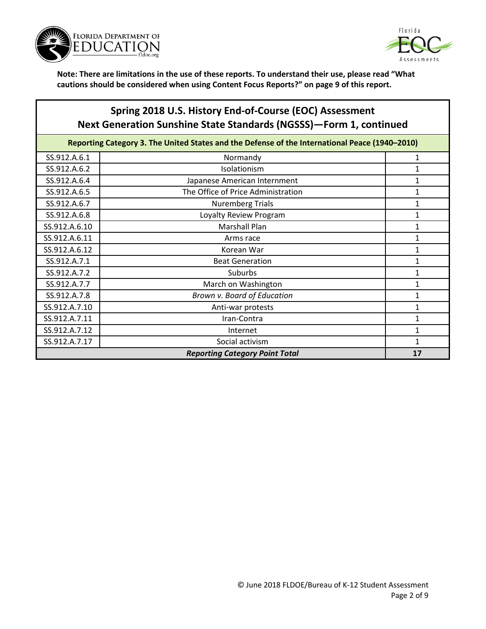



## **Spring 2018 U.S. History End-of-Course (EOC) Assessment Next Generation Sunshine State Standards (NGSSS)—Form 1, continued**

| Reporting Category 3. The United States and the Defense of the International Peace (1940-2010) |                                    |   |
|------------------------------------------------------------------------------------------------|------------------------------------|---|
| SS.912.A.6.1                                                                                   | Normandy                           | 1 |
| SS.912.A.6.2                                                                                   | Isolationism                       |   |
| SS.912.A.6.4                                                                                   | Japanese American Internment       |   |
| SS.912.A.6.5                                                                                   | The Office of Price Administration |   |
| SS.912.A.6.7                                                                                   | <b>Nuremberg Trials</b>            |   |
| SS.912.A.6.8                                                                                   | Loyalty Review Program             | 1 |
| SS.912.A.6.10                                                                                  | <b>Marshall Plan</b>               | 1 |
| SS.912.A.6.11                                                                                  | Arms race                          | 1 |
| SS.912.A.6.12                                                                                  | Korean War                         | 1 |
| SS.912.A.7.1                                                                                   | <b>Beat Generation</b>             | 1 |
| SS.912.A.7.2                                                                                   | Suburbs                            | 1 |
| SS.912.A.7.7                                                                                   | March on Washington                |   |
| SS.912.A.7.8                                                                                   | Brown v. Board of Education        |   |
| SS.912.A.7.10                                                                                  | Anti-war protests                  | 1 |
| SS.912.A.7.11                                                                                  | Iran-Contra                        |   |
| SS.912.A.7.12                                                                                  | Internet                           | 1 |
| SS.912.A.7.17                                                                                  | Social activism                    | 1 |
| <b>Reporting Category Point Total</b>                                                          |                                    |   |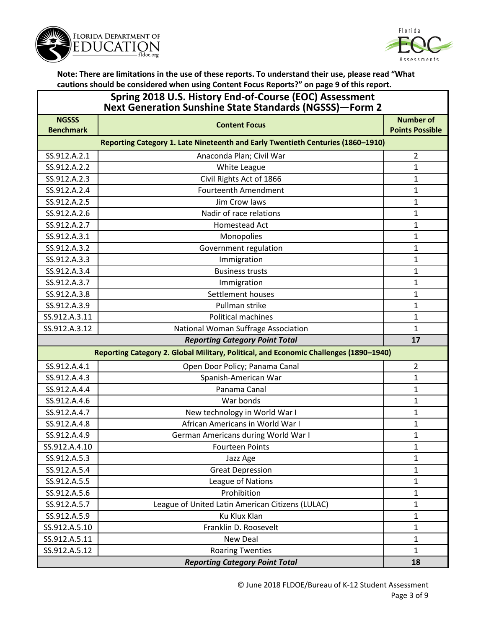



| Spring 2018 U.S. History End-of-Course (EOC) Assessment<br><b>Next Generation Sunshine State Standards (NGSSS)-Form 2</b> |                                                                                       |                        |
|---------------------------------------------------------------------------------------------------------------------------|---------------------------------------------------------------------------------------|------------------------|
| <b>NGSSS</b>                                                                                                              | <b>Content Focus</b>                                                                  | <b>Number of</b>       |
| <b>Benchmark</b>                                                                                                          |                                                                                       | <b>Points Possible</b> |
|                                                                                                                           | Reporting Category 1. Late Nineteenth and Early Twentieth Centuries (1860-1910)       |                        |
| SS.912.A.2.1                                                                                                              | Anaconda Plan; Civil War                                                              | $\overline{2}$         |
| SS.912.A.2.2                                                                                                              | White League                                                                          | $\mathbf{1}$           |
| SS.912.A.2.3                                                                                                              | Civil Rights Act of 1866                                                              | 1                      |
| SS.912.A.2.4                                                                                                              | <b>Fourteenth Amendment</b>                                                           | 1                      |
| SS.912.A.2.5                                                                                                              | Jim Crow laws                                                                         | 1                      |
| SS.912.A.2.6                                                                                                              | Nadir of race relations                                                               | 1                      |
| SS.912.A.2.7                                                                                                              | Homestead Act                                                                         | $\mathbf{1}$           |
| SS.912.A.3.1                                                                                                              | Monopolies                                                                            | 1                      |
| SS.912.A.3.2                                                                                                              | Government regulation                                                                 | 1                      |
| SS.912.A.3.3                                                                                                              | Immigration                                                                           | $\mathbf{1}$           |
| SS.912.A.3.4                                                                                                              | <b>Business trusts</b>                                                                | 1                      |
| SS.912.A.3.7                                                                                                              | Immigration                                                                           | 1                      |
| SS.912.A.3.8                                                                                                              | Settlement houses                                                                     | 1                      |
| SS.912.A.3.9                                                                                                              | Pullman strike                                                                        | 1                      |
| SS.912.A.3.11                                                                                                             | <b>Political machines</b>                                                             | $\mathbf{1}$           |
| SS.912.A.3.12                                                                                                             | National Woman Suffrage Association                                                   | $\mathbf{1}$           |
|                                                                                                                           | <b>Reporting Category Point Total</b>                                                 | 17                     |
|                                                                                                                           | Reporting Category 2. Global Military, Political, and Economic Challenges (1890-1940) |                        |
| SS.912.A.4.1                                                                                                              | Open Door Policy; Panama Canal                                                        | $\overline{2}$         |
| SS.912.A.4.3                                                                                                              | Spanish-American War                                                                  | 1                      |
| SS.912.A.4.4                                                                                                              | Panama Canal                                                                          | $\mathbf{1}$           |
| SS.912.A.4.6                                                                                                              | War bonds                                                                             | 1                      |
| SS.912.A.4.7                                                                                                              | New technology in World War I                                                         | 1                      |
| SS.912.A.4.8                                                                                                              | African Americans in World War I                                                      | $\mathbf{1}$           |
| SS.912.A.4.9                                                                                                              | German Americans during World War I                                                   | 1                      |
| SS.912.A.4.10                                                                                                             | <b>Fourteen Points</b>                                                                | 1                      |
| SS.912.A.5.3                                                                                                              | Jazz Age                                                                              | $\mathbf{1}$           |
| SS.912.A.5.4                                                                                                              | <b>Great Depression</b>                                                               | $\mathbf{1}$           |
| SS.912.A.5.5                                                                                                              | League of Nations                                                                     | 1                      |
| SS.912.A.5.6                                                                                                              | Prohibition                                                                           | $\mathbf{1}$           |
| SS.912.A.5.7                                                                                                              | League of United Latin American Citizens (LULAC)                                      | $\mathbf{1}$           |
| SS.912.A.5.9                                                                                                              | <b>Ku Klux Klan</b>                                                                   | $\mathbf{1}$           |
| SS.912.A.5.10                                                                                                             | Franklin D. Roosevelt                                                                 | $\mathbf{1}$           |
| SS.912.A.5.11                                                                                                             | New Deal                                                                              | $\mathbf{1}$           |
| SS.912.A.5.12                                                                                                             | <b>Roaring Twenties</b>                                                               | $\mathbf{1}$           |
| <b>Reporting Category Point Total</b>                                                                                     |                                                                                       |                        |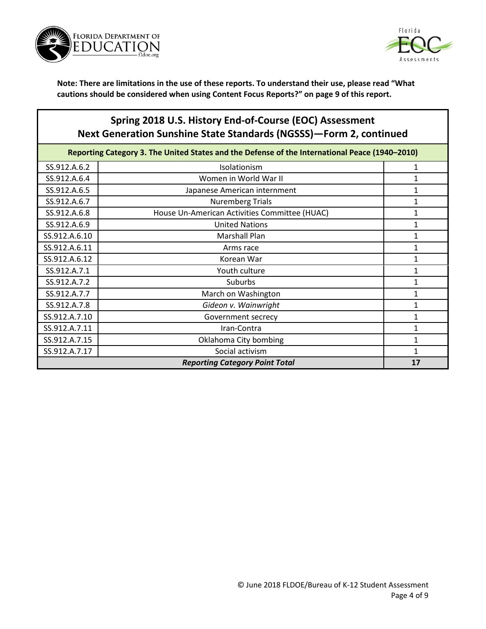



# **Spring 2018 U.S. History End-of-Course (EOC) Assessment Next Generation Sunshine State Standards (NGSSS)—Form 2, continued**

| Reporting Category 3. The United States and the Defense of the International Peace (1940-2010) |                                               |   |  |
|------------------------------------------------------------------------------------------------|-----------------------------------------------|---|--|
| SS.912.A.6.2                                                                                   | Isolationism                                  |   |  |
| SS.912.A.6.4                                                                                   | Women in World War II                         | 1 |  |
| SS.912.A.6.5                                                                                   | Japanese American internment                  |   |  |
| SS.912.A.6.7                                                                                   | <b>Nuremberg Trials</b>                       |   |  |
| SS.912.A.6.8                                                                                   | House Un-American Activities Committee (HUAC) |   |  |
| SS.912.A.6.9                                                                                   | <b>United Nations</b>                         | 1 |  |
| SS.912.A.6.10                                                                                  | <b>Marshall Plan</b>                          | 1 |  |
| SS.912.A.6.11                                                                                  | Arms race                                     |   |  |
| SS.912.A.6.12                                                                                  | Korean War                                    |   |  |
| SS.912.A.7.1                                                                                   | Youth culture                                 |   |  |
| SS.912.A.7.2                                                                                   | <b>Suburbs</b>                                |   |  |
| SS.912.A.7.7                                                                                   | March on Washington                           |   |  |
| SS.912.A.7.8                                                                                   | Gideon v. Wainwright                          |   |  |
| SS.912.A.7.10                                                                                  | Government secrecy                            | 1 |  |
| SS.912.A.7.11                                                                                  | Iran-Contra                                   | 1 |  |
| SS.912.A.7.15                                                                                  | Oklahoma City bombing                         |   |  |
| SS.912.A.7.17                                                                                  | Social activism                               |   |  |
|                                                                                                | <b>Reporting Category Point Total</b><br>17   |   |  |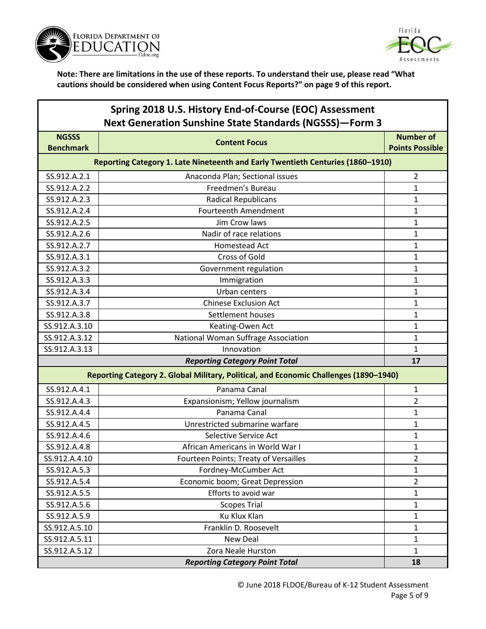



| Spring 2018 U.S. History End-of-Course (EOC) Assessment        |
|----------------------------------------------------------------|
| <b>Next Generation Sunshine State Standards (NGSSS)-Form 3</b> |

| <b>NGSSS</b><br><b>Benchmark</b> | <b>Content Focus</b>                                                                  | <b>Number of</b><br><b>Points Possible</b> |  |
|----------------------------------|---------------------------------------------------------------------------------------|--------------------------------------------|--|
|                                  | Reporting Category 1. Late Nineteenth and Early Twentieth Centuries (1860-1910)       |                                            |  |
| SS.912.A.2.1                     | Anaconda Plan; Sectional issues                                                       | $\overline{2}$                             |  |
| SS.912.A.2.2                     | Freedmen's Bureau                                                                     | $\mathbf 1$                                |  |
| SS.912.A.2.3                     | <b>Radical Republicans</b>                                                            | $\mathbf{1}$                               |  |
| SS.912.A.2.4                     | <b>Fourteenth Amendment</b>                                                           | 1                                          |  |
| SS.912.A.2.5                     | Jim Crow laws                                                                         | 1                                          |  |
| SS.912.A.2.6                     | Nadir of race relations                                                               | 1                                          |  |
| SS.912.A.2.7                     | Homestead Act                                                                         | $\mathbf{1}$                               |  |
| SS.912.A.3.1                     | <b>Cross of Gold</b>                                                                  | $\mathbf{1}$                               |  |
| SS.912.A.3.2                     | Government regulation                                                                 | $\mathbf 1$                                |  |
| SS.912.A.3.3                     | Immigration                                                                           | $\mathbf 1$                                |  |
| SS.912.A.3.4                     | Urban centers                                                                         | 1                                          |  |
| SS.912.A.3.7                     | <b>Chinese Exclusion Act</b>                                                          | 1                                          |  |
| SS.912.A.3.8                     | Settlement houses                                                                     | 1                                          |  |
| SS.912.A.3.10                    | Keating-Owen Act                                                                      | $\mathbf 1$                                |  |
| SS.912.A.3.12                    | National Woman Suffrage Association                                                   | $\mathbf{1}$                               |  |
| SS.912.A.3.13                    | Innovation                                                                            | 1                                          |  |
|                                  | <b>Reporting Category Point Total</b>                                                 | 17                                         |  |
|                                  | Reporting Category 2. Global Military, Political, and Economic Challenges (1890-1940) |                                            |  |
| SS.912.A.4.1                     | Panama Canal                                                                          | $\mathbf{1}$                               |  |
| SS.912.A.4.3                     | Expansionism; Yellow journalism                                                       | 2                                          |  |
| SS.912.A.4.4                     | Panama Canal                                                                          | $\mathbf{1}$                               |  |
| SS.912.A.4.5                     | Unrestricted submarine warfare                                                        | 1                                          |  |
| SS.912.A.4.6                     | Selective Service Act                                                                 | $\mathbf 1$                                |  |
| SS.912.A.4.8                     | African Americans in World War I                                                      | $\mathbf{1}$                               |  |
| SS.912.A.4.10                    | Fourteen Points; Treaty of Versailles                                                 | 2                                          |  |
| SS.912.A.5.3                     | Fordney-McCumber Act                                                                  | 1                                          |  |
| SS.912.A.5.4                     | Economic boom; Great Depression                                                       | $\overline{2}$                             |  |
| SS.912.A.5.5                     | Efforts to avoid war                                                                  | 1                                          |  |
| SS.912.A.5.6                     | <b>Scopes Trial</b>                                                                   | $\mathbf{1}$                               |  |
| SS.912.A.5.9                     | Ku Klux Klan                                                                          | $\mathbf 1$                                |  |
| SS.912.A.5.10                    | Franklin D. Roosevelt                                                                 | $\mathbf 1$                                |  |
| SS.912.A.5.11                    | <b>New Deal</b>                                                                       | 1                                          |  |
| SS.912.A.5.12                    | Zora Neale Hurston                                                                    | $\mathbf{1}$                               |  |
|                                  | <b>Reporting Category Point Total</b>                                                 | 18                                         |  |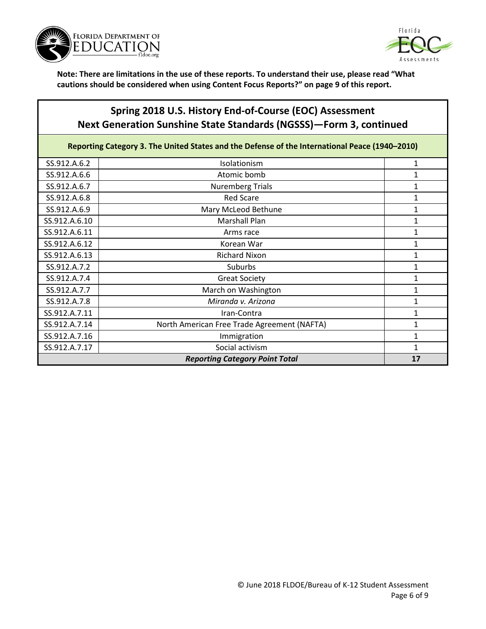



## **Spring 2018 U.S. History End-of-Course (EOC) Assessment Next Generation Sunshine State Standards (NGSSS)—Form 3, continued**

Reporting Category 3. The United States and the Defense of the International Peace (1940–2010)

| SS.912.A.6.2                          | Isolationism                                | 1            |
|---------------------------------------|---------------------------------------------|--------------|
| SS.912.A.6.6                          | Atomic bomb                                 |              |
| SS.912.A.6.7                          | <b>Nuremberg Trials</b>                     |              |
| SS.912.A.6.8                          | <b>Red Scare</b>                            |              |
| SS.912.A.6.9                          | Mary McLeod Bethune                         |              |
| SS.912.A.6.10                         | <b>Marshall Plan</b>                        |              |
| SS.912.A.6.11                         | Arms race                                   |              |
| SS.912.A.6.12                         | Korean War                                  |              |
| SS.912.A.6.13                         | <b>Richard Nixon</b>                        |              |
| SS.912.A.7.2                          | <b>Suburbs</b>                              |              |
| SS.912.A.7.4                          | <b>Great Society</b>                        | 1            |
| SS.912.A.7.7                          | March on Washington                         | 1            |
| SS.912.A.7.8                          | Miranda v. Arizona                          | $\mathbf{1}$ |
| SS.912.A.7.11                         | Iran-Contra                                 | $\mathbf{1}$ |
| SS.912.A.7.14                         | North American Free Trade Agreement (NAFTA) | 1            |
| SS.912.A.7.16                         | Immigration                                 | 1            |
| SS.912.A.7.17                         | Social activism                             | 1            |
| <b>Reporting Category Point Total</b> |                                             |              |
|                                       |                                             |              |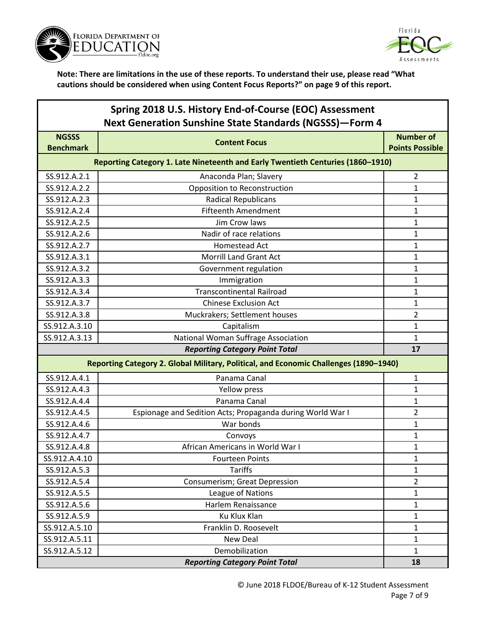



| Spring 2018 U.S. History End-of-Course (EOC) Assessment        |
|----------------------------------------------------------------|
| <b>Next Generation Sunshine State Standards (NGSSS)-Form 4</b> |

| <b>NGSSS</b><br><b>Benchmark</b>                                                | <b>Content Focus</b>                                                                  | <b>Number of</b><br><b>Points Possible</b> |
|---------------------------------------------------------------------------------|---------------------------------------------------------------------------------------|--------------------------------------------|
| Reporting Category 1. Late Nineteenth and Early Twentieth Centuries (1860-1910) |                                                                                       |                                            |
| SS.912.A.2.1                                                                    | Anaconda Plan; Slavery                                                                | 2                                          |
| SS.912.A.2.2                                                                    | Opposition to Reconstruction                                                          | 1                                          |
| SS.912.A.2.3                                                                    | <b>Radical Republicans</b>                                                            | 1                                          |
| SS.912.A.2.4                                                                    | <b>Fifteenth Amendment</b>                                                            | 1                                          |
| SS.912.A.2.5                                                                    | Jim Crow laws                                                                         | 1                                          |
| SS.912.A.2.6                                                                    | Nadir of race relations                                                               | $\mathbf{1}$                               |
| SS.912.A.2.7                                                                    | <b>Homestead Act</b>                                                                  | $\mathbf{1}$                               |
| SS.912.A.3.1                                                                    | <b>Morrill Land Grant Act</b>                                                         | 1                                          |
| SS.912.A.3.2                                                                    | Government regulation                                                                 | 1                                          |
| SS.912.A.3.3                                                                    | Immigration                                                                           | 1                                          |
| SS.912.A.3.4                                                                    | <b>Transcontinental Railroad</b>                                                      | 1                                          |
| SS.912.A.3.7                                                                    | <b>Chinese Exclusion Act</b>                                                          | $\mathbf{1}$                               |
| SS.912.A.3.8                                                                    | Muckrakers; Settlement houses                                                         | $\overline{2}$                             |
| SS.912.A.3.10                                                                   | Capitalism                                                                            | 1                                          |
| SS.912.A.3.13                                                                   | National Woman Suffrage Association                                                   | 1                                          |
|                                                                                 | <b>Reporting Category Point Total</b>                                                 | 17                                         |
|                                                                                 | Reporting Category 2. Global Military, Political, and Economic Challenges (1890-1940) |                                            |
| SS.912.A.4.1                                                                    | Panama Canal                                                                          | 1                                          |
| SS.912.A.4.3                                                                    | Yellow press                                                                          | $\mathbf{1}$                               |
| SS.912.A.4.4                                                                    | Panama Canal                                                                          | 1                                          |
| SS.912.A.4.5                                                                    | Espionage and Sedition Acts; Propaganda during World War I                            | $\overline{2}$                             |
| SS.912.A.4.6                                                                    | War bonds                                                                             | $\mathbf{1}$                               |
| SS.912.A.4.7                                                                    | Convoys                                                                               | 1                                          |
| SS.912.A.4.8                                                                    | African Americans in World War I                                                      | $\mathbf{1}$                               |
| SS.912.A.4.10                                                                   | <b>Fourteen Points</b>                                                                | 1                                          |
| SS.912.A.5.3                                                                    | <b>Tariffs</b>                                                                        | $\mathbf{1}$                               |
| SS.912.A.5.4                                                                    | <b>Consumerism; Great Depression</b>                                                  | 2                                          |
| SS.912.A.5.5                                                                    | League of Nations                                                                     | $\mathbf{1}$                               |
| SS.912.A.5.6                                                                    | Harlem Renaissance                                                                    | $\mathbf{1}$                               |
| SS.912.A.5.9                                                                    | Ku Klux Klan                                                                          | $\mathbf{1}$                               |
| SS.912.A.5.10                                                                   | Franklin D. Roosevelt                                                                 | $\mathbf{1}$                               |
| SS.912.A.5.11                                                                   | New Deal                                                                              | 1                                          |
| SS.912.A.5.12                                                                   | Demobilization                                                                        | $\mathbf{1}$                               |
|                                                                                 | <b>Reporting Category Point Total</b>                                                 | 18                                         |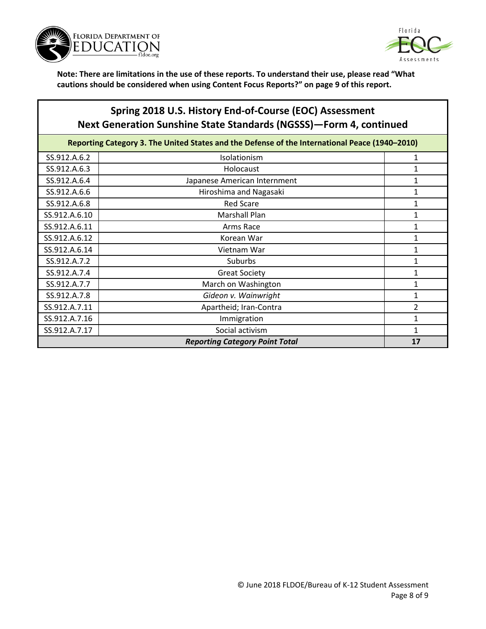



## **Spring 2018 U.S. History End-of-Course (EOC) Assessment Next Generation Sunshine State Standards (NGSSS)—Form 4, continued**

| Reporting Category 3. The United States and the Defense of the International Peace (1940-2010) |                              |                |
|------------------------------------------------------------------------------------------------|------------------------------|----------------|
| SS.912.A.6.2                                                                                   | <b>Isolationism</b>          | 1              |
| SS.912.A.6.3                                                                                   | Holocaust                    | 1              |
| SS.912.A.6.4                                                                                   | Japanese American Internment | 1              |
| SS.912.A.6.6                                                                                   | Hiroshima and Nagasaki       | 1              |
| SS.912.A.6.8                                                                                   | <b>Red Scare</b>             | 1              |
| SS.912.A.6.10                                                                                  | Marshall Plan                | 1              |
| SS.912.A.6.11                                                                                  | Arms Race                    | 1              |
| SS.912.A.6.12                                                                                  | Korean War                   | 1              |
| SS.912.A.6.14                                                                                  | Vietnam War                  | 1              |
| SS.912.A.7.2                                                                                   | Suburbs                      | 1              |
| SS.912.A.7.4                                                                                   | <b>Great Society</b>         | 1              |
| SS.912.A.7.7                                                                                   | March on Washington          | 1              |
| SS.912.A.7.8                                                                                   | Gideon v. Wainwright         | 1              |
| SS.912.A.7.11                                                                                  | Apartheid; Iran-Contra       | $\overline{2}$ |
| SS.912.A.7.16                                                                                  | Immigration                  |                |
| SS.912.A.7.17                                                                                  | Social activism              |                |
| <b>Reporting Category Point Total</b>                                                          |                              |                |